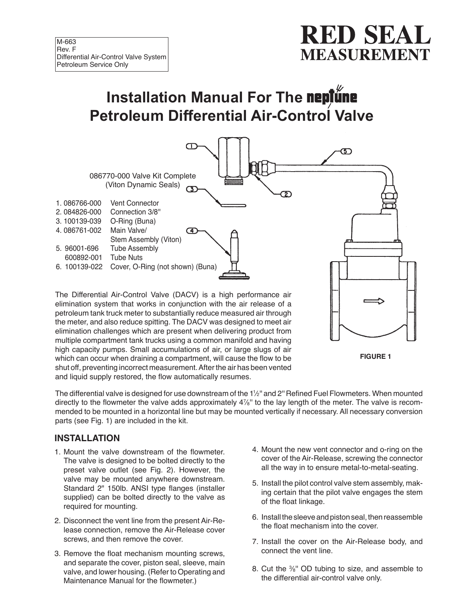# **RED SEAL MEASUREMENT**

# **Installation Manual For The neptune Petroleum Differential Air-Control Valve**



The Differential Air-Control Valve (DACV) is a high performance air elimination system that works in conjunction with the air release of a petroleum tank truck meter to substantially reduce measured air through the meter, and also reduce spitting. The DACV was designed to meet air elimination challenges which are present when delivering product from multiple compartment tank trucks using a common manifold and having high capacity pumps. Small accumulations of air, or large slugs of air which can occur when draining a compartment, will cause the flow to be shut off, preventing incorrect measurement. After the air has been vented and liquid supply restored, the flow automatically resumes.



The differential valve is designed for use downstream of the 1½" and 2" Refined Fuel Flowmeters. When mounted directly to the flowmeter the valve adds approximately 4%" to the lay length of the meter. The valve is recommended to be mounted in a horizontal line but may be mounted vertically if necessary. All necessary conversion parts (see Fig. 1) are included in the kit.

### **INSTALLATION**

- 1. Mount the valve downstream of the flowmeter. The valve is designed to be bolted directly to the preset valve outlet (see Fig. 2). However, the valve may be mounted anywhere downstream. Standard 2" 150lb. ANSI type flanges (installer supplied) can be bolted directly to the valve as required for mounting.
- 2. Disconnect the vent line from the present Air-Release connection, remove the Air-Release cover screws, and then remove the cover.
- 3. Remove the float mechanism mounting screws, and separate the cover, piston seal, sleeve, main valve, and lower housing. (Refer to Operating and Maintenance Manual for the flowmeter.)
- 4. Mount the new vent connector and o-ring on the cover of the Air-Release, screwing the connector all the way in to ensure metal-to-metal-seating.
- 5. Install the pilot control valve stem assembly, making certain that the pilot valve engages the stem of the float linkage.
- 6. Install the sleeve and piston seal, then reassemble the float mechanism into the cover.
- 7. Install the cover on the Air-Release body, and connect the vent line.
- 8. Cut the 3 ⁄8'' OD tubing to size, and assemble to the differential air-control valve only.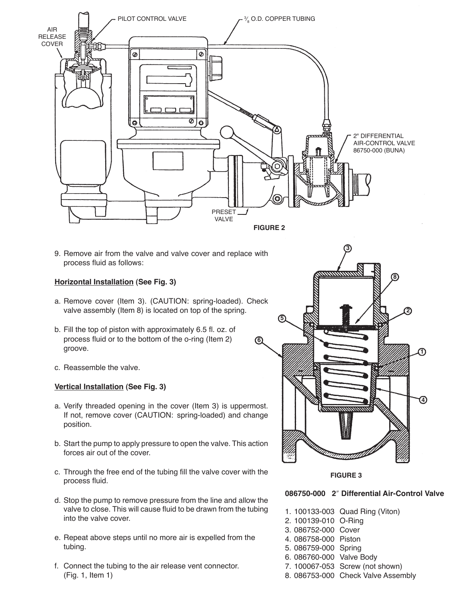

**6**

9. Remove air from the valve and valve cover and replace with process fluid as follows:

#### **Horizontal Installation (See Fig. 3)**

- a. Remove cover (Item 3). (CAUTION: spring-loaded). Check valve assembly (Item 8) is located on top of the spring.
- b. Fill the top of piston with approximately 6.5 fl. oz. of process fluid or to the bottom of the o-ring (Item 2) groove.
- c. Reassemble the valve.

#### **Vertical Installation (See Fig. 3)**

- a. Verify threaded opening in the cover (Item 3) is uppermost. If not, remove cover (CAUTION: spring-loaded) and change position.
- b. Start the pump to apply pressure to open the valve. This action forces air out of the cover.
- c. Through the free end of the tubing fill the valve cover with the process fluid.
- d. Stop the pump to remove pressure from the line and allow the valve to close. This will cause fluid to be drawn from the tubing into the valve cover.
- e. Repeat above steps until no more air is expelled from the tubing.
- f. Connect the tubing to the air release vent connector. (Fig. 1, Item 1)



#### **FIGURE 3**

#### **086750-000 2**″ **Differential Air-Control Valve**

- 1. 100133-003 Quad Ring (Viton)
- 2. 100139-010 O-Ring
- 3. 086752-000 Cover
- 4. 086758-000 Piston
- 5. 086759-000 Spring
- 6. 086760-000 Valve Body
- 7. 100067-053 Screw (not shown)
- 8. 086753-000 Check Valve Assembly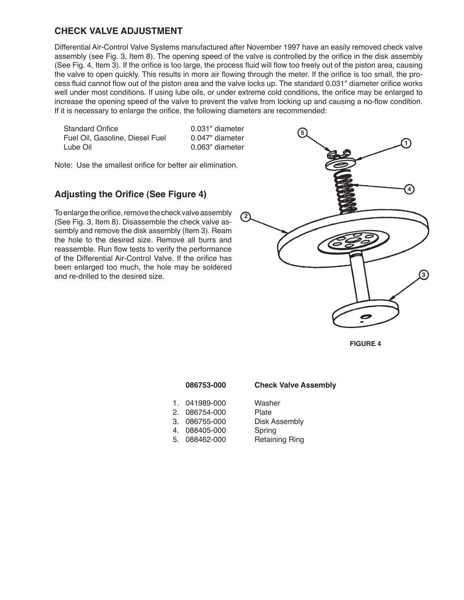### **CHECK VALVE ADJUSTMENT**

Differential Air-Control Valve Systems manufactured after November 1997 have an easily removed check valve assembly (see Fig. 3, Item 8). The opening speed of the valve is controlled by the orifice in the disk assembly (See Fig. 4, Item 3). If the orifice is too large, the process fluid will flow too freely out of the piston area, causing the valve to open quickly. This results in more air flowing through the meter. If the orifice is too small, the process fluid cannot flow out of the piston area and the valve locks up. The standard 0.031" diameter orifice works well under most conditions. If using lube oils, or under extreme cold conditions, the orifice may be enlarged to increase the opening speed of the valve to prevent the valve from locking up and causing a no-flow condition. If it is necessary to enlarge the orifice, the following diameters are recommended:

Standard Orifice 0.031" diameter Fuel Oil, Gasoline, Diesel Fuel 0.047" diameter Lube Oil **Diameter** 0.063" diameter

Note: Use the smallest orifice for better air elimination.

### **Adjusting the Orifice (See Figure 4)**

To enlarge the orifice, remove the check valve assembly (See Fig. 3, Item 8). Disassemble the check valve assembly and remove the disk assembly (Item 3). Ream the hole to the desired size. Remove all burrs and reassemble. Run flow tests to verify the performance of the Differential Air-Control Valve. If the orifice has been enlarged too much, the hole may be soldered and re-drilled to the desired size.



**FIGURE 4**

| 086753-000 | <b>Check Valve A</b> |
|------------|----------------------|
|            |                      |

1. 041989-000 Washer<br>2. 086754-000 Plate

## **086753-000 Check Valve Assembly**

- 
- 2. 086754-000 Plate<br>3. 086755-000 Disk Assembly

5. 088462-000

- 
- 3. 086755-000 Disk As<br>4. 088405-000 Spring
- 4. 088405-000 Spring<br>5. 088462-000 Retaining Ring
	-